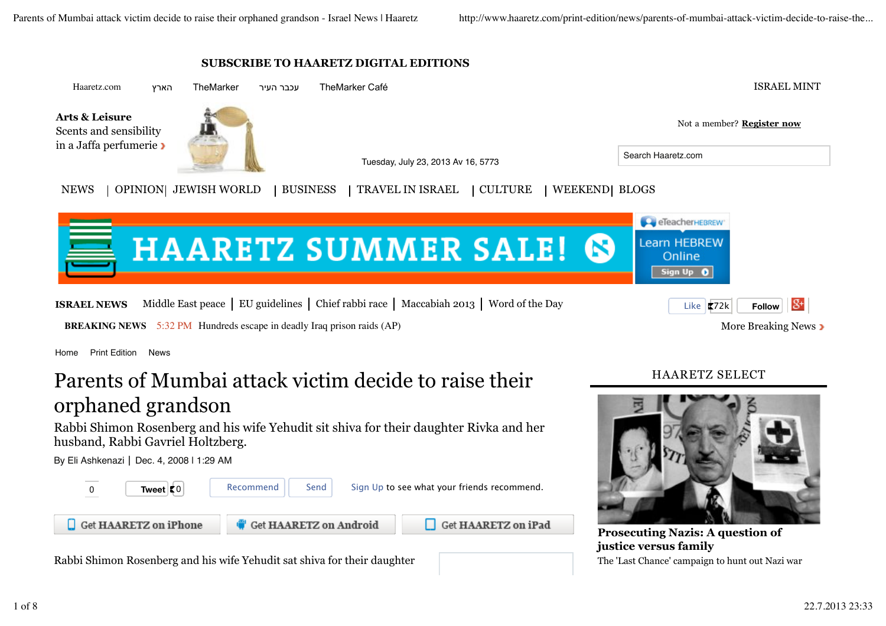## **SUBSCRIBE TO HAARETZ DIGITAL EDITIONS**



Home Print Edition News

## Parents of Mumbai attack victim decide to raise their orphaned grandson

Rabbi Shimon Rosenberg and his wife Yehudit sit shiva for their daughter Rivka and her husband, Rabbi Gavriel Holtzberg.

By Eli Ashkenazi | Dec. 4, 2008 | 1:29 AM



Rabbi Shimon Rosenberg and his wife Yehudit sat shiva for their daughter

## HAARETZ SELECT



**Prosecuting Nazis: A question of justice versus family**  The 'Last Chance' campaign to hunt out Nazi war